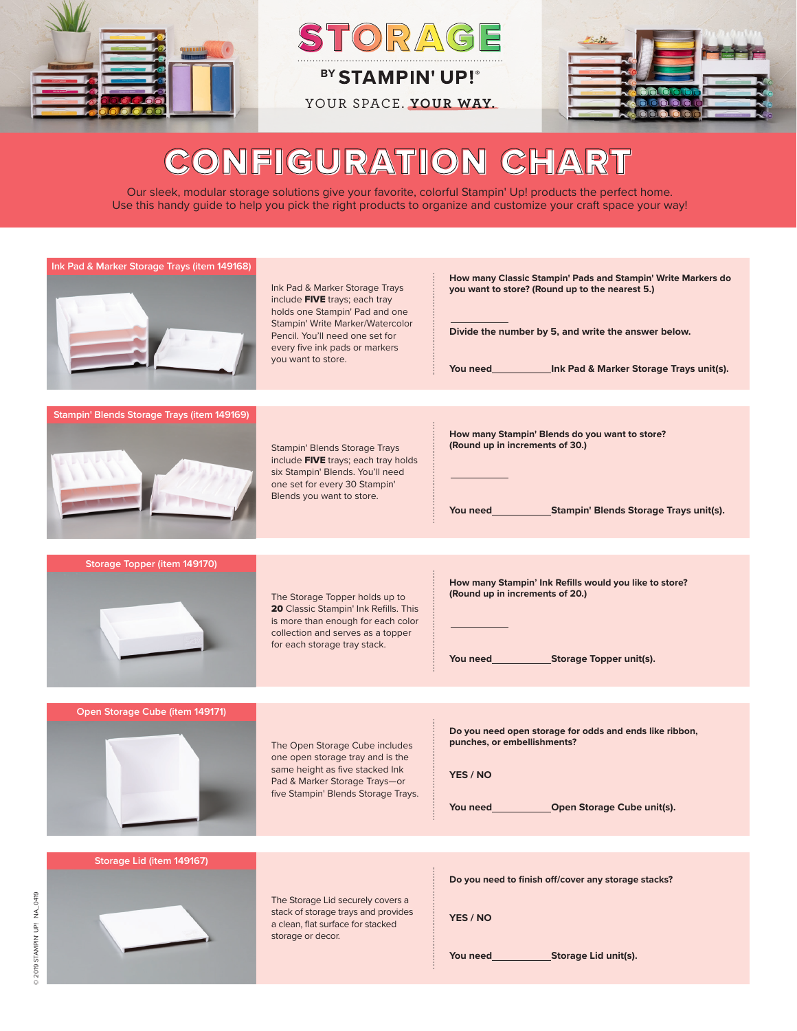

ORAG

**BY STAMPIN' UP!** 

YOUR SPACE. **YOUR WAY.**



# CONFIGURATION CHART

Our sleek, modular storage solutions give your favorite, colorful Stampin' Up! products the perfect home. Use this handy guide to help you pick the right products to organize and customize your craft space your way!